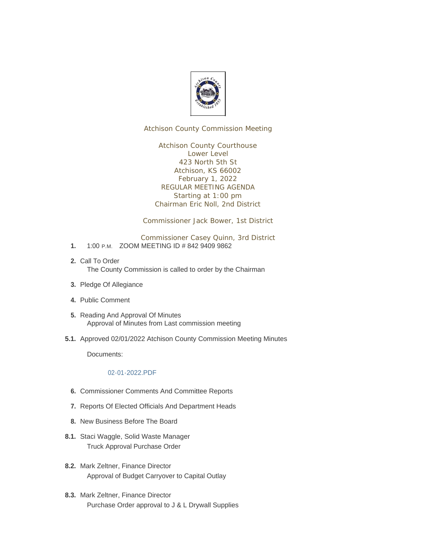

Atchison County Commission Meeting

Atchison County Courthouse Lower Level 423 North 5th St Atchison, KS 66002 February 1, 2022 REGULAR MEETING AGENDA Starting at 1:00 pm Chairman Eric Noll, 2nd District

Commissioner Jack Bower, 1st District

Commissioner Casey Quinn, 3rd District

- 1. 1:00 P.M. ZOOM MEETING ID # 842 9409 9862
- 2. Call To Order The County Commission is called to order by the Chairman
- 3. Pledge Of Allegiance
- Public Comment **4.**
- 5. Reading And Approval Of Minutes Approval of Minutes from Last commission meeting
- 5.1. Approved 02/01/2022 Atchison County Commission Meeting Minutes

Documents:

#### 02-01-2022.PDF

- **6.** Commissioner Comments And Committee Reports
- 7. Reports Of Elected Officials And Department Heads
- 8. New Business Before The Board
- 8.1. Staci Waggle, Solid Waste Manager Truck Approval Purchase Order
- 8.2. Mark Zeltner, Finance Director Approval of Budget Carryover to Capital Outlay
- 8.3. Mark Zeltner, Finance Director Purchase Order approval to J & L Drywall Supplies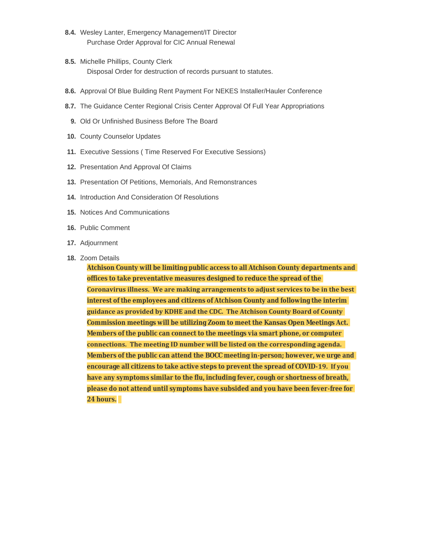- 8.4. Wesley Lanter, Emergency Management/IT Director Purchase Order Approval for CIC Annual Renewal
- 8.5. Michelle Phillips, County Clerk Disposal Order for destruction of records pursuant to statutes.
- Approval Of Blue Building Rent Payment For NEKES Installer/Hauler Conference **8.6.**
- 8.7. The Guidance Center Regional Crisis Center Approval Of Full Year Appropriations
	- 9. Old Or Unfinished Business Before The Board
- 10. County Counselor Updates
- Executive Sessions ( Time Reserved For Executive Sessions) **11.**
- 12. Presentation And Approval Of Claims
- 13. Presentation Of Petitions, Memorials, And Remonstrances
- 14. Introduction And Consideration Of Resolutions
- 15. Notices And Communications
- 16. Public Comment
- 17. Adjournment
- 18. Zoom Details

**Atchison County will be limiting public access to all Atchison County departments and offices to take preventative measures designed to reduce the spread of the Coronavirus illness. We are making arrangements to adjust services to be in the best interest of the employees and citizens of Atchison County and following the interim guidance as provided by KDHE and the CDC. The Atchison County Board of County Commission meetings will be utilizing Zoom to meet the Kansas Open Meetings Act. Members of the public can connect to the meetings via smart phone, or computer connections. The meeting ID number will be listed on the corresponding agenda. Members of the public can attend the BOCC meeting in-person; however, we urge and encourage all citizens to take active steps to prevent the spread of COVID-19. If you have any symptoms similar to the flu, including fever, cough or shortness of breath, please do not attend until symptoms have subsided and you have been fever-free for 24 hours.**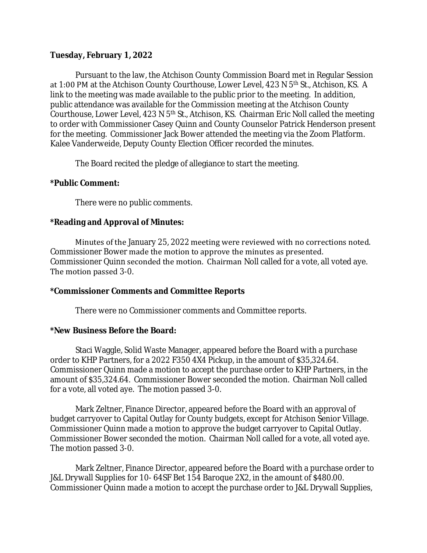## **Tuesday, February 1, 2022**

Pursuant to the law, the Atchison County Commission Board met in Regular Session at 1:00 PM at the Atchison County Courthouse, Lower Level, 423 N 5<sup>th</sup> St., Atchison, KS. A link to the meeting was made available to the public prior to the meeting. In addition, public attendance was available for the Commission meeting at the Atchison County Courthouse, Lower Level, 423 N 5<sup>th</sup> St., Atchison, KS. Chairman Eric Noll called the meeting to order with Commissioner Casey Quinn and County Counselor Patrick Henderson present for the meeting. Commissioner Jack Bower attended the meeting via the Zoom Platform. Kalee Vanderweide, Deputy County Election Officer recorded the minutes.

The Board recited the pledge of allegiance to start the meeting.

## **\*Public Comment:**

There were no public comments.

# **\*Reading and Approval of Minutes:**

Minutes of the January 25, 2022 meeting were reviewed with no corrections noted. Commissioner Bower made the motion to approve the minutes as presented. Commissioner Quinn seconded the motion. Chairman Noll called for a vote, all voted aye. The motion passed 3-0.

### **\*Commissioner Comments and Committee Reports**

There were no Commissioner comments and Committee reports.

### **\*New Business Before the Board:**

Staci Waggle, Solid Waste Manager, appeared before the Board with a purchase order to KHP Partners, for a 2022 F350 4X4 Pickup, in the amount of \$35,324.64. Commissioner Quinn made a motion to accept the purchase order to KHP Partners, in the amount of \$35,324.64. Commissioner Bower seconded the motion. Chairman Noll called for a vote, all voted aye. The motion passed 3-0.

Mark Zeltner, Finance Director, appeared before the Board with an approval of budget carryover to Capital Outlay for County budgets, except for Atchison Senior Village. Commissioner Quinn made a motion to approve the budget carryover to Capital Outlay. Commissioner Bower seconded the motion. Chairman Noll called for a vote, all voted aye. The motion passed 3-0.

Mark Zeltner, Finance Director, appeared before the Board with a purchase order to J&L Drywall Supplies for 10- 64SF Bet 154 Baroque 2X2, in the amount of \$480.00. Commissioner Quinn made a motion to accept the purchase order to J&L Drywall Supplies,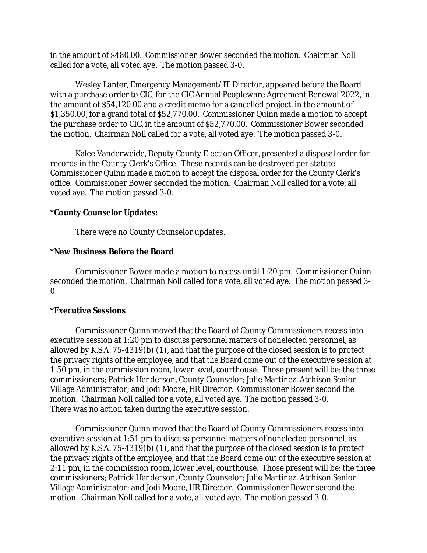in the amount of \$480.00. Commissioner Bower seconded the motion. Chairman Noll called for a vote, all voted aye. The motion passed 3-0.

Wesley Lanter, Emergency Management/IT Director, appeared before the Board with a purchase order to CIC, for the CIC Annual Peopleware Agreement Renewal 2022, in the amount of \$54,120.00 and a credit memo for a cancelled project, in the amount of \$1,350.00, for a grand total of \$52,770.00. Commissioner Quinn made a motion to accept the purchase order to CIC, in the amount of \$52,770.00. Commissioner Bower seconded the motion. Chairman Noll called for a vote, all voted aye. The motion passed 3-0.

Kalee Vanderweide, Deputy County Election Officer, presented a disposal order for records in the County Clerk's Office. These records can be destroyed per statute. Commissioner Quinn made a motion to accept the disposal order for the County Clerk's office. Commissioner Bower seconded the motion. Chairman Noll called for a vote, all voted aye. The motion passed 3-0.

## **\*County Counselor Updates:**

There were no County Counselor updates.

## **\*New Business Before the Board**

Commissioner Bower made a motion to recess until 1:20 pm. Commissioner Quinn seconded the motion. Chairman Noll called for a vote, all voted aye. The motion passed 3-  $\Omega$ .

# **\*Executive Sessions**

Commissioner Quinn moved that the Board of County Commissioners recess into executive session at 1:20 pm to discuss personnel matters of nonelected personnel, as allowed by K.S.A. 75-4319(b) (1), and that the purpose of the closed session is to protect the privacy rights of the employee, and that the Board come out of the executive session at 1:50 pm, in the commission room, lower level, courthouse. Those present will be: the three commissioners; Patrick Henderson, County Counselor; Julie Martinez, Atchison Senior Village Administrator; and Jodi Moore, HR Director. Commissioner Bower second the motion. Chairman Noll called for a vote, all voted aye. The motion passed 3-0. There was no action taken during the executive session.

Commissioner Quinn moved that the Board of County Commissioners recess into executive session at 1:51 pm to discuss personnel matters of nonelected personnel, as allowed by K.S.A. 75-4319(b) (1), and that the purpose of the closed session is to protect the privacy rights of the employee, and that the Board come out of the executive session at 2:11 pm, in the commission room, lower level, courthouse. Those present will be: the three commissioners; Patrick Henderson, County Counselor; Julie Martinez, Atchison Senior Village Administrator; and Jodi Moore, HR Director. Commissioner Bower second the motion. Chairman Noll called for a vote, all voted aye. The motion passed 3-0.